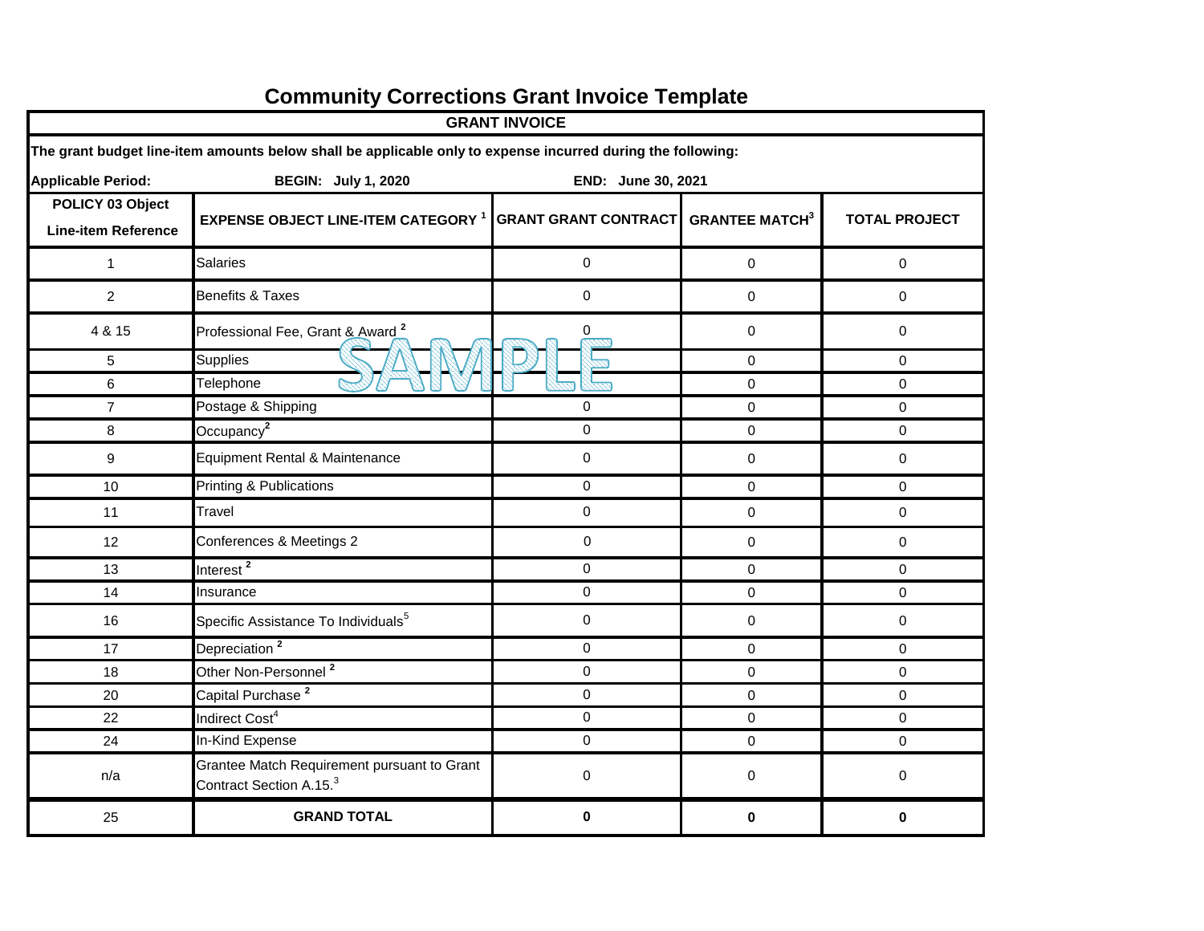| <b>GRANT INVOICE</b>                                                          |                                                                                                             |                             |                       |                      |  |  |  |  |  |  |
|-------------------------------------------------------------------------------|-------------------------------------------------------------------------------------------------------------|-----------------------------|-----------------------|----------------------|--|--|--|--|--|--|
|                                                                               | The grant budget line-item amounts below shall be applicable only to expense incurred during the following: |                             |                       |                      |  |  |  |  |  |  |
| <b>Applicable Period:</b><br><b>BEGIN: July 1, 2020</b><br>END: June 30, 2021 |                                                                                                             |                             |                       |                      |  |  |  |  |  |  |
| POLICY 03 Object<br><b>Line-item Reference</b>                                | <b>EXPENSE OBJECT LINE-ITEM CATEGORY 1</b>                                                                  | <b>GRANT GRANT CONTRACT</b> | <b>GRANTEE MATCH3</b> | <b>TOTAL PROJECT</b> |  |  |  |  |  |  |
| $\mathbf{1}$                                                                  | <b>Salaries</b>                                                                                             | 0                           | $\pmb{0}$             | $\pmb{0}$            |  |  |  |  |  |  |
| $\overline{c}$                                                                | <b>Benefits &amp; Taxes</b>                                                                                 | 0                           | $\mathbf 0$           | $\mathbf 0$          |  |  |  |  |  |  |
| 4 & 15                                                                        | Professional Fee, Grant & Award <sup>2</sup>                                                                | 0                           | 0                     | $\mathbf 0$          |  |  |  |  |  |  |
| $\sqrt{5}$                                                                    | Supplies                                                                                                    |                             | $\mathbf 0$           | $\mathbf 0$          |  |  |  |  |  |  |
| 6                                                                             | Telephone                                                                                                   |                             | $\pmb{0}$             | $\mathsf{O}\xspace$  |  |  |  |  |  |  |
| $\overline{7}$                                                                | Postage & Shipping                                                                                          | $\mathbf 0$                 | 0                     | 0                    |  |  |  |  |  |  |
| 8                                                                             | Occupancy <sup>2</sup>                                                                                      | 0                           | $\mathbf 0$           | $\mathbf 0$          |  |  |  |  |  |  |
| $\boldsymbol{9}$                                                              | Equipment Rental & Maintenance                                                                              | 0                           | $\mathbf 0$           | $\mathbf 0$          |  |  |  |  |  |  |
| 10                                                                            | Printing & Publications                                                                                     | $\mathbf 0$                 | $\mathbf 0$           | $\mathbf 0$          |  |  |  |  |  |  |
| 11                                                                            | Travel                                                                                                      | 0                           | 0                     | 0                    |  |  |  |  |  |  |
| 12                                                                            | Conferences & Meetings 2                                                                                    | $\mathbf 0$                 | $\mathbf 0$           | $\mathbf 0$          |  |  |  |  |  |  |
| 13                                                                            | Interest <sup>2</sup>                                                                                       | $\mathbf 0$                 | $\mathbf 0$           | $\mathbf 0$          |  |  |  |  |  |  |
| 14                                                                            | Insurance                                                                                                   | 0                           | 0                     | $\mathsf{O}\xspace$  |  |  |  |  |  |  |
| 16                                                                            | Specific Assistance To Individuals <sup>5</sup>                                                             | $\mathbf 0$                 | $\pmb{0}$             | $\mathsf{O}\xspace$  |  |  |  |  |  |  |
| 17                                                                            | Depreciation <sup>2</sup>                                                                                   | 0                           | 0                     | 0                    |  |  |  |  |  |  |
| 18                                                                            | Other Non-Personnel <sup>2</sup>                                                                            | $\mathbf 0$                 | 0                     | 0                    |  |  |  |  |  |  |
| 20                                                                            | Capital Purchase <sup>2</sup>                                                                               | 0                           | $\mathbf 0$           | 0                    |  |  |  |  |  |  |
| 22                                                                            | Indirect Cost <sup>4</sup>                                                                                  | $\mathbf 0$                 | 0                     | 0                    |  |  |  |  |  |  |
| 24                                                                            | In-Kind Expense                                                                                             | $\mathbf 0$                 | $\mathbf 0$           | $\mathbf 0$          |  |  |  |  |  |  |
| n/a                                                                           | Grantee Match Requirement pursuant to Grant<br>Contract Section A.15. <sup>3</sup>                          | 0                           | $\pmb{0}$             | $\mathbf 0$          |  |  |  |  |  |  |
| 25                                                                            | <b>GRAND TOTAL</b>                                                                                          | $\mathbf 0$                 | 0                     | $\mathbf 0$          |  |  |  |  |  |  |

## **Community Corrections Grant Invoice Template**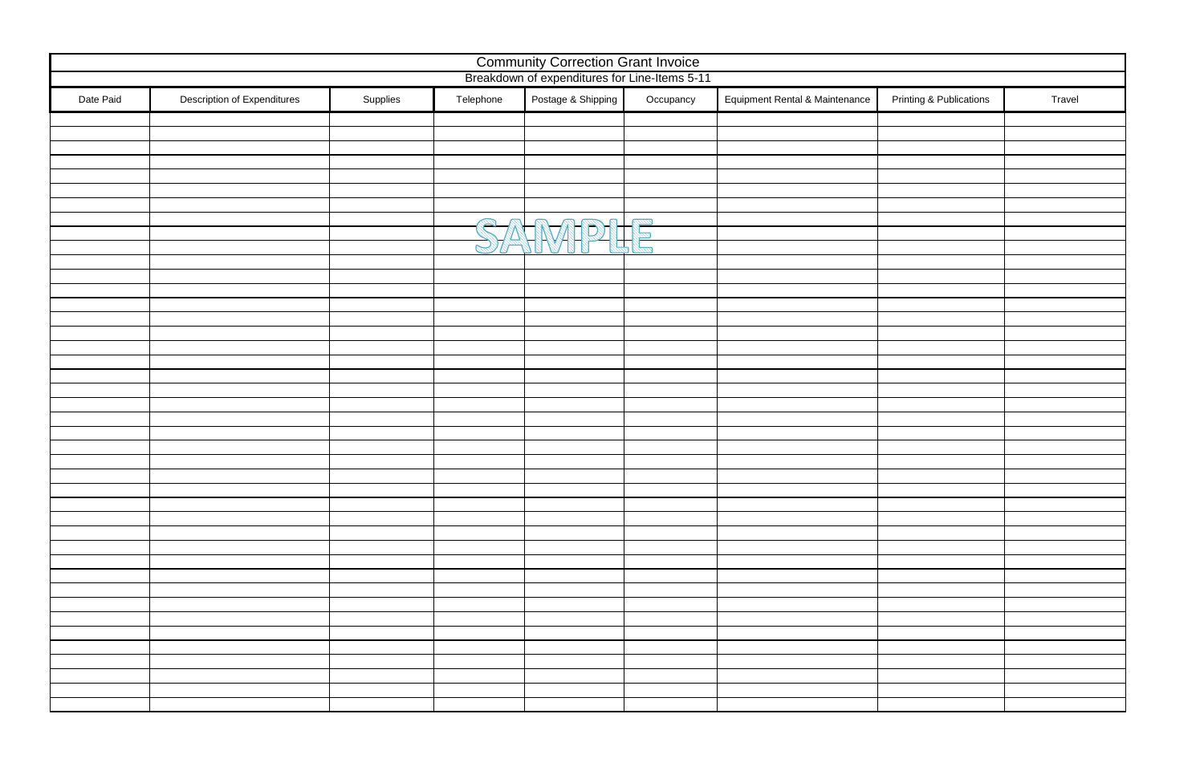| <b>Community Correction Grant Invoice</b><br>Breakdown of expenditures for Line-Items 5-11 |                             |          |           |                    |           |                                |                                    |        |
|--------------------------------------------------------------------------------------------|-----------------------------|----------|-----------|--------------------|-----------|--------------------------------|------------------------------------|--------|
| Date Paid                                                                                  | Description of Expenditures | Supplies | Telephone | Postage & Shipping | Occupancy | Equipment Rental & Maintenance | <b>Printing &amp; Publications</b> | Travel |
|                                                                                            |                             |          |           |                    |           |                                |                                    |        |
|                                                                                            |                             |          |           |                    |           |                                |                                    |        |
|                                                                                            |                             |          |           |                    |           |                                |                                    |        |
|                                                                                            |                             |          |           |                    |           |                                |                                    |        |
|                                                                                            |                             |          |           |                    |           |                                |                                    |        |
|                                                                                            |                             |          |           |                    |           |                                |                                    |        |
|                                                                                            |                             |          |           |                    |           |                                |                                    |        |
|                                                                                            |                             |          |           |                    |           |                                |                                    |        |
|                                                                                            |                             |          |           | SANDIE             |           |                                |                                    |        |
|                                                                                            |                             |          |           |                    |           |                                |                                    |        |
|                                                                                            |                             |          |           |                    |           |                                |                                    |        |
|                                                                                            |                             |          |           |                    |           |                                |                                    |        |
|                                                                                            |                             |          |           |                    |           |                                |                                    |        |
|                                                                                            |                             |          |           |                    |           |                                |                                    |        |
|                                                                                            |                             |          |           |                    |           |                                |                                    |        |
|                                                                                            |                             |          |           |                    |           |                                |                                    |        |
|                                                                                            |                             |          |           |                    |           |                                |                                    |        |
|                                                                                            |                             |          |           |                    |           |                                |                                    |        |
|                                                                                            |                             |          |           |                    |           |                                |                                    |        |
|                                                                                            |                             |          |           |                    |           |                                |                                    |        |
|                                                                                            |                             |          |           |                    |           |                                |                                    |        |
|                                                                                            |                             |          |           |                    |           |                                |                                    |        |
|                                                                                            |                             |          |           |                    |           |                                |                                    |        |
|                                                                                            |                             |          |           |                    |           |                                |                                    |        |
|                                                                                            |                             |          |           |                    |           |                                |                                    |        |
|                                                                                            |                             |          |           |                    |           |                                |                                    |        |
|                                                                                            |                             |          |           |                    |           |                                |                                    |        |
|                                                                                            |                             |          |           |                    |           |                                |                                    |        |
|                                                                                            |                             |          |           |                    |           |                                |                                    |        |
|                                                                                            |                             |          |           |                    |           |                                |                                    |        |
|                                                                                            |                             |          |           |                    |           |                                |                                    |        |
|                                                                                            |                             |          |           |                    |           |                                |                                    |        |
|                                                                                            |                             |          |           |                    |           |                                |                                    |        |
|                                                                                            |                             |          |           |                    |           |                                |                                    |        |
|                                                                                            |                             |          |           |                    |           |                                |                                    |        |
|                                                                                            |                             |          |           |                    |           |                                |                                    |        |
|                                                                                            |                             |          |           |                    |           |                                |                                    |        |
|                                                                                            |                             |          |           |                    |           |                                |                                    |        |
|                                                                                            |                             |          |           |                    |           |                                |                                    |        |

| Printing & Publications | Travel |
|-------------------------|--------|
|                         |        |
|                         |        |
|                         |        |
|                         |        |
|                         |        |
|                         |        |
|                         |        |
|                         |        |
|                         |        |
|                         |        |
|                         |        |
|                         |        |
|                         |        |
|                         |        |
|                         |        |
|                         |        |
|                         |        |
|                         |        |
|                         |        |
|                         |        |
|                         |        |
|                         |        |
|                         |        |
|                         |        |
|                         |        |
|                         |        |
|                         |        |
|                         |        |
|                         |        |
|                         |        |
|                         |        |
|                         |        |
|                         |        |
|                         |        |
|                         |        |
|                         |        |
|                         |        |
|                         |        |
|                         |        |